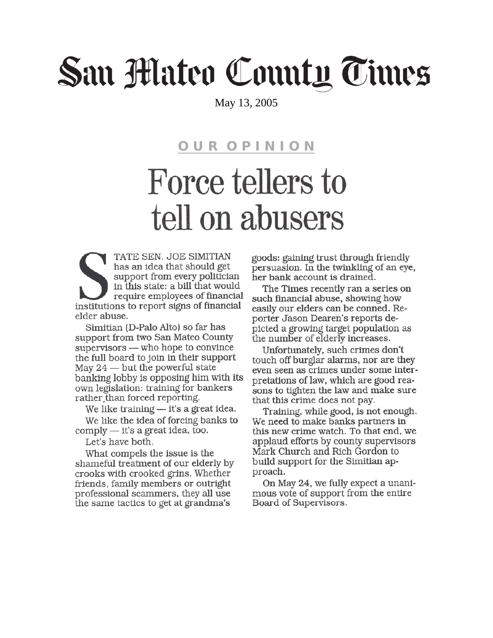## San Mateo County Times

May 13, 2005

**OUR OPINION** 

## Force tellers to tell on abusers

TATE SEN. JOE SIMITIAN has an idea that should get support from every politician in this state: a bill that would require employees of financial institutions to report signs of financial elder abuse.

Simitian (D-Palo Alto) so far has support from two San Mateo County supervisors — who hope to convince the full board to join in their support May  $24$  — but the powerful state banking lobby is opposing him with its own legislation: training for bankers rather than forced reporting.

We like training — it's a great idea. We like the idea of forcing banks to comply — it's a great idea, too.

Let's have both.

What compels the issue is the shameful treatment of our elderly by crooks with crooked grins. Whether friends, family members or outright professional scammers, they all use the same tactics to get at grandma's

goods: gaining trust through friendly persuasion. In the twinkling of an eye, her bank account is drained.

The Times recently ran a series on such financial abuse, showing how easily our elders can be conned. Reporter Jason Dearen's reports depicted a growing target population as the number of elderly increases.

Unfortunately, such crimes don't touch off burglar alarms, nor are they even seen as crimes under some interpretations of law, which are good reasons to tighten the law and make sure that this crime does not pay.

Training, while good, is not enough. We need to make banks partners in this new crime watch. To that end, we applaud efforts by county supervisors Mark Church and Rich Gordon to build support for the Simitian approach.

On May 24, we fully expect a unanimous vote of support from the entire Board of Supervisors.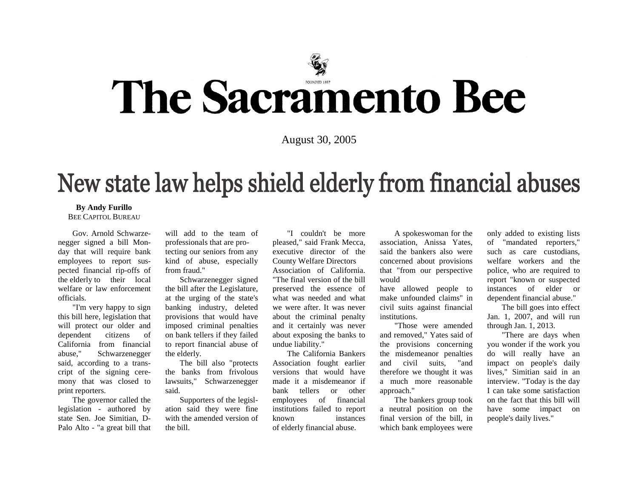

# The Sacramento Bee

August 30, 2005

### New state law helps shield elderly from financial abuses

#### **By Andy Furillo**

BEE CAPITOL BUREAU

Gov. Arnold Schwarzenegger signed a bill Monday that will require bank employees to report suspected financial rip-offs of the elderly to their local welfare or law enforcement officials.

"I'm very happy to sign this bill here, legislation that will protect our older and dependent citizens of California from financial abuse," Schwarzenegger said, according to a transcript of the signing ceremony that was closed to print reporters.

The governor called the legislation - authored by state Sen. Joe Simitian, D-Palo Alto - "a great bill that will add to the team of professionals that are protecting our seniors from any kind of abuse, especially from fraud."

Schwarzenegger signed the bill after the Legislature, at the urging of the state's banking industry, deleted provisions that would have imposed criminal penalties on bank tellers if they failed to report financial abuse of the elderly.

The bill also "protects the banks from frivolous lawsuits," Schwarzenegger said.

Supporters of the legislation said they were fine with the amended version of the bill.

"I couldn't be more pleased," said Frank Mecca, executive director of the County Welfare Directors Association of California. "The final version of the bill preserved the essence of what was needed and what we were after. It was never about the criminal penalty and it certainly was never about exposing the banks to undue liability."

The California Bankers Association fought earlier versions that would have made it a misdemeanor if bank tellers or other employees of financial institutions failed to report known instances of elderly financial abuse.

A spokeswoman for the association, Anissa Yates, said the bankers also were concerned about provisions that "from our perspective would

have allowed people to make unfounded claims" in civil suits against financial institutions.

"Those were amended and removed," Yates said of the provisions concerning the misdemeanor penalties and civil suits, "and therefore we thought it was a much more reasonable approach."

The bankers group took a neutral position on the final version of the bill, in which bank employees were only added to existing lists of "mandated reporters," such as care custodians, welfare workers and the police, who are required to report "known or suspected instances of elder or dependent financial abuse."

The bill goes into effect Jan. 1, 2007, and will run through Jan. 1, 2013.

"There are days when you wonder if the work you do will really have an impact on people's daily lives," Simitian said in an interview. "Today is the day I can take some satisfaction on the fact that this bill will have some impact on people's daily lives."